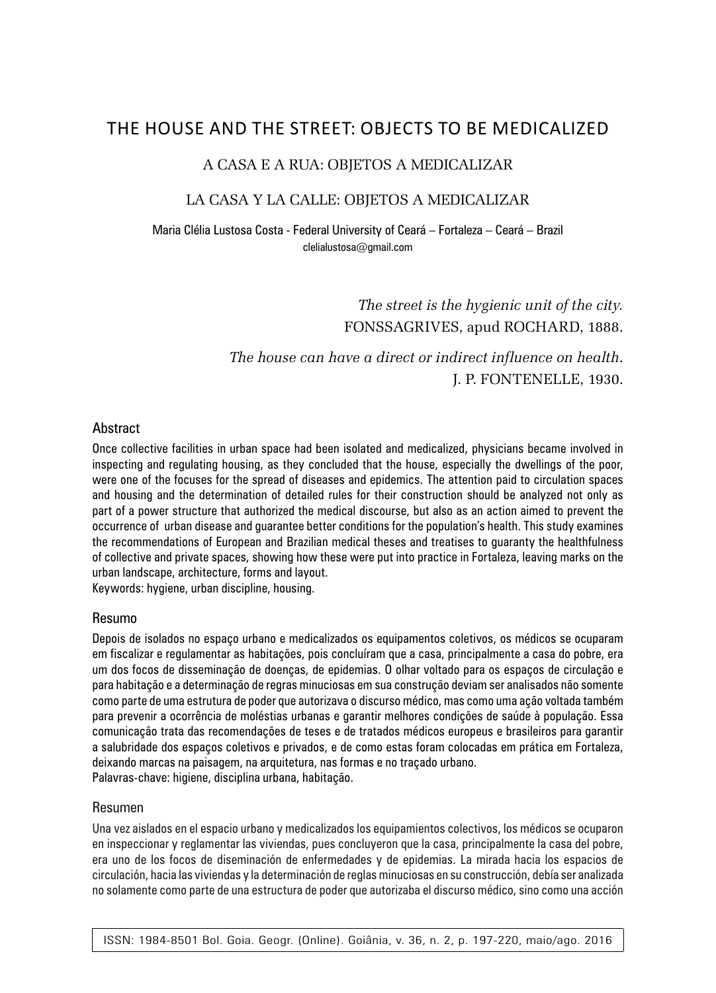### THE HOUSE AND THE STREET: OBJECTS TO BE MEDICALIZED

#### A CASA E A RUA: OBJETOS A MEDICALIZAR

#### LA CASA Y LA CALLE: OBJETOS A MEDICALIZAR

Maria Clélia Lustosa Costa - Federal University of Ceará – Fortaleza – Ceará – Brazil clelialustosa@gmail.com

> *The street is the hygienic unit of the city.*  FONSSAGRIVES, apud ROCHARD, 1888.

*The house can have a direct or indirect influence on health*. J. P. FONTENELLE, 1930.

#### Abstract

Once collective facilities in urban space had been isolated and medicalized, physicians became involved in inspecting and regulating housing, as they concluded that the house, especially the dwellings of the poor, were one of the focuses for the spread of diseases and epidemics. The attention paid to circulation spaces and housing and the determination of detailed rules for their construction should be analyzed not only as part of a power structure that authorized the medical discourse, but also as an action aimed to prevent the occurrence of urban disease and guarantee better conditions for the population's health. This study examines the recommendations of European and Brazilian medical theses and treatises to guaranty the healthfulness of collective and private spaces, showing how these were put into practice in Fortaleza, leaving marks on the urban landscape, architecture, forms and layout.

Keywords: hygiene, urban discipline, housing.

#### Resumo

Depois de isolados no espaço urbano e medicalizados os equipamentos coletivos, os médicos se ocuparam em fiscalizar e regulamentar as habitações, pois concluíram que a casa, principalmente a casa do pobre, era um dos focos de disseminação de doenças, de epidemias. O olhar voltado para os espaços de circulação e para habitação e a determinação de regras minuciosas em sua construção deviam ser analisados não somente como parte de uma estrutura de poder que autorizava o discurso médico, mas como uma ação voltada também para prevenir a ocorrência de moléstias urbanas e garantir melhores condições de saúde à população. Essa comunicação trata das recomendações de teses e de tratados médicos europeus e brasileiros para garantir a salubridade dos espaços coletivos e privados, e de como estas foram colocadas em prática em Fortaleza, deixando marcas na paisagem, na arquitetura, nas formas e no traçado urbano. Palavras-chave: higiene, disciplina urbana, habitação.

#### Resumen

Una vez aislados en el espacio urbano y medicalizados los equipamientos colectivos, los médicos se ocuparon en inspeccionar y reglamentar las viviendas, pues concluyeron que la casa, principalmente la casa del pobre, era uno de los focos de diseminación de enfermedades y de epidemias. La mirada hacia los espacios de circulación, hacia las viviendas y la determinación de reglas minuciosas en su construcción, debía ser analizada no solamente como parte de una estructura de poder que autorizaba el discurso médico, sino como una acción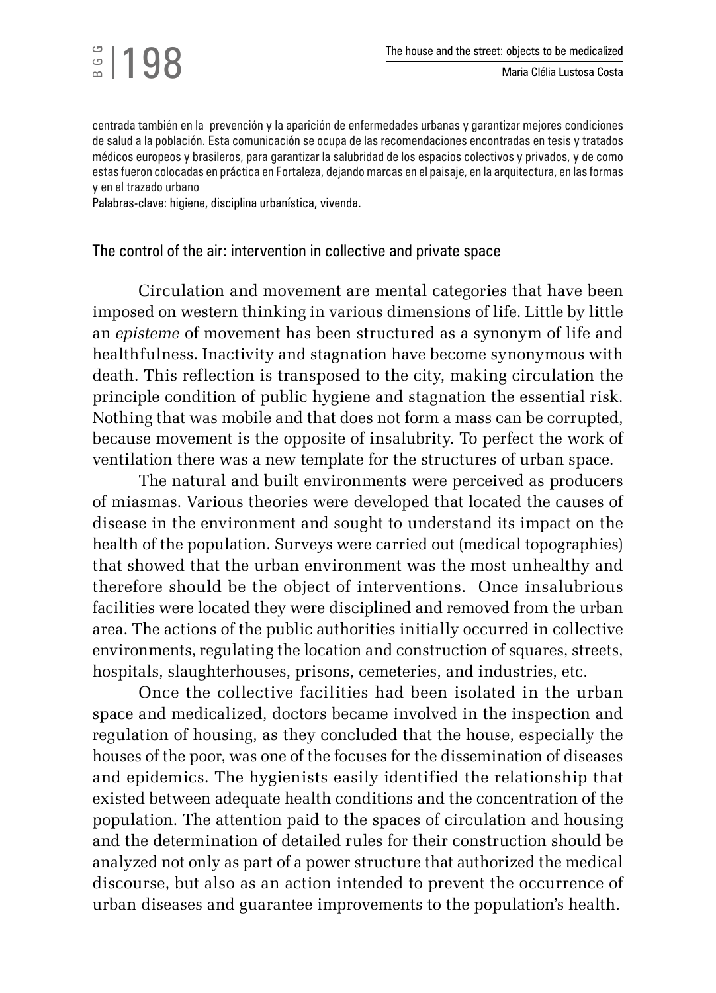### $\frac{100}{2}$  198

centrada también en la prevención y la aparición de enfermedades urbanas y garantizar mejores condiciones de salud a la población. Esta comunicación se ocupa de las recomendaciones encontradas en tesis y tratados médicos europeos y brasileros, para garantizar la salubridad de los espacios colectivos y privados, y de como estas fueron colocadas en práctica en Fortaleza, dejando marcas en el paisaje, en la arquitectura, en las formas y en el trazado urbano

Palabras-clave: higiene, disciplina urbanística, vivenda.

### The control of the air: intervention in collective and private space

Circulation and movement are mental categories that have been imposed on western thinking in various dimensions of life. Little by little an *episteme* of movement has been structured as a synonym of life and healthfulness. Inactivity and stagnation have become synonymous with death. This reflection is transposed to the city, making circulation the principle condition of public hygiene and stagnation the essential risk. Nothing that was mobile and that does not form a mass can be corrupted, because movement is the opposite of insalubrity. To perfect the work of ventilation there was a new template for the structures of urban space.

The natural and built environments were perceived as producers of miasmas. Various theories were developed that located the causes of disease in the environment and sought to understand its impact on the health of the population. Surveys were carried out (medical topographies) that showed that the urban environment was the most unhealthy and therefore should be the object of interventions. Once insalubrious facilities were located they were disciplined and removed from the urban area. The actions of the public authorities initially occurred in collective environments, regulating the location and construction of squares, streets, hospitals, slaughterhouses, prisons, cemeteries, and industries, etc.

Once the collective facilities had been isolated in the urban space and medicalized, doctors became involved in the inspection and regulation of housing, as they concluded that the house, especially the houses of the poor, was one of the focuses for the dissemination of diseases and epidemics. The hygienists easily identified the relationship that existed between adequate health conditions and the concentration of the population. The attention paid to the spaces of circulation and housing and the determination of detailed rules for their construction should be analyzed not only as part of a power structure that authorized the medical discourse, but also as an action intended to prevent the occurrence of urban diseases and guarantee improvements to the population's health.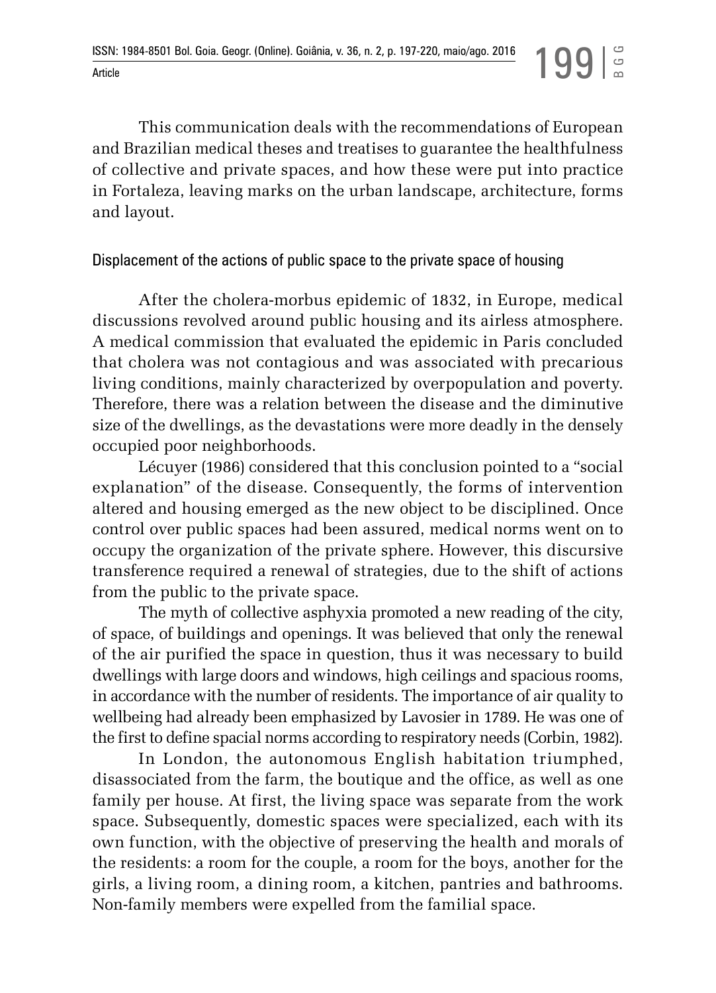This communication deals with the recommendations of European and Brazilian medical theses and treatises to guarantee the healthfulness of collective and private spaces, and how these were put into practice in Fortaleza, leaving marks on the urban landscape, architecture, forms and layout.

### Displacement of the actions of public space to the private space of housing

After the cholera-morbus epidemic of 1832, in Europe, medical discussions revolved around public housing and its airless atmosphere. A medical commission that evaluated the epidemic in Paris concluded that cholera was not contagious and was associated with precarious living conditions, mainly characterized by overpopulation and poverty. Therefore, there was a relation between the disease and the diminutive size of the dwellings, as the devastations were more deadly in the densely occupied poor neighborhoods.

Lécuyer (1986) considered that this conclusion pointed to a "social explanation" of the disease. Consequently, the forms of intervention altered and housing emerged as the new object to be disciplined. Once control over public spaces had been assured, medical norms went on to occupy the organization of the private sphere. However, this discursive transference required a renewal of strategies, due to the shift of actions from the public to the private space.

The myth of collective asphyxia promoted a new reading of the city, of space, of buildings and openings. It was believed that only the renewal of the air purified the space in question, thus it was necessary to build dwellings with large doors and windows, high ceilings and spacious rooms, in accordance with the number of residents. The importance of air quality to wellbeing had already been emphasized by Lavosier in 1789. He was one of the first to define spacial norms according to respiratory needs (Corbin, 1982).

In London, the autonomous English habitation triumphed, disassociated from the farm, the boutique and the office, as well as one family per house. At first, the living space was separate from the work space. Subsequently, domestic spaces were specialized, each with its own function, with the objective of preserving the health and morals of the residents: a room for the couple, a room for the boys, another for the girls, a living room, a dining room, a kitchen, pantries and bathrooms. Non-family members were expelled from the familial space.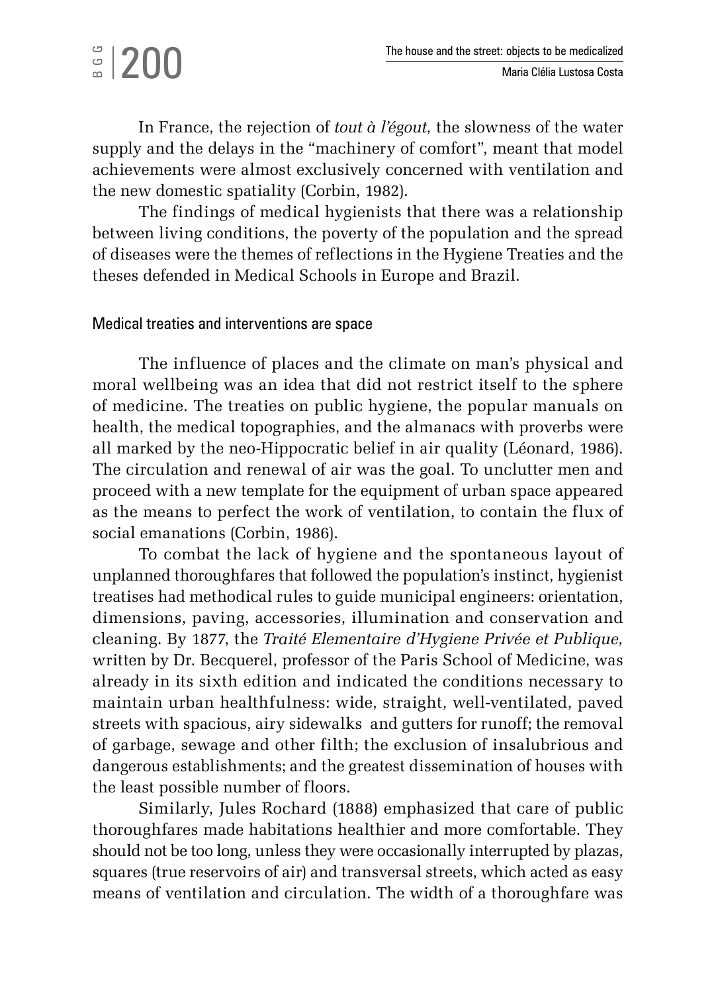In France, the rejection of *tout à l'égout,* the slowness of the water supply and the delays in the "machinery of comfort", meant that model achievements were almost exclusively concerned with ventilation and the new domestic spatiality (Corbin, 1982).

The findings of medical hygienists that there was a relationship between living conditions, the poverty of the population and the spread of diseases were the themes of reflections in the Hygiene Treaties and the theses defended in Medical Schools in Europe and Brazil.

### Medical treaties and interventions are space

 $\frac{1}{2}$ |200

The influence of places and the climate on man's physical and moral wellbeing was an idea that did not restrict itself to the sphere of medicine. The treaties on public hygiene, the popular manuals on health, the medical topographies, and the almanacs with proverbs were all marked by the neo-Hippocratic belief in air quality (Léonard, 1986). The circulation and renewal of air was the goal. To unclutter men and proceed with a new template for the equipment of urban space appeared as the means to perfect the work of ventilation, to contain the flux of social emanations (Corbin, 1986).

To combat the lack of hygiene and the spontaneous layout of unplanned thoroughfares that followed the population's instinct, hygienist treatises had methodical rules to guide municipal engineers: orientation, dimensions, paving, accessories, illumination and conservation and cleaning. By 1877, the *Traité Elementaire d'Hygiene Privée et Publique,*  written by Dr. Becquerel, professor of the Paris School of Medicine, was already in its sixth edition and indicated the conditions necessary to maintain urban healthfulness: wide, straight, well-ventilated, paved streets with spacious, airy sidewalks and gutters for runoff; the removal of garbage, sewage and other filth; the exclusion of insalubrious and dangerous establishments; and the greatest dissemination of houses with the least possible number of floors.

Similarly, Jules Rochard (1888) emphasized that care of public thoroughfares made habitations healthier and more comfortable. They should not be too long, unless they were occasionally interrupted by plazas, squares (true reservoirs of air) and transversal streets, which acted as easy means of ventilation and circulation. The width of a thoroughfare was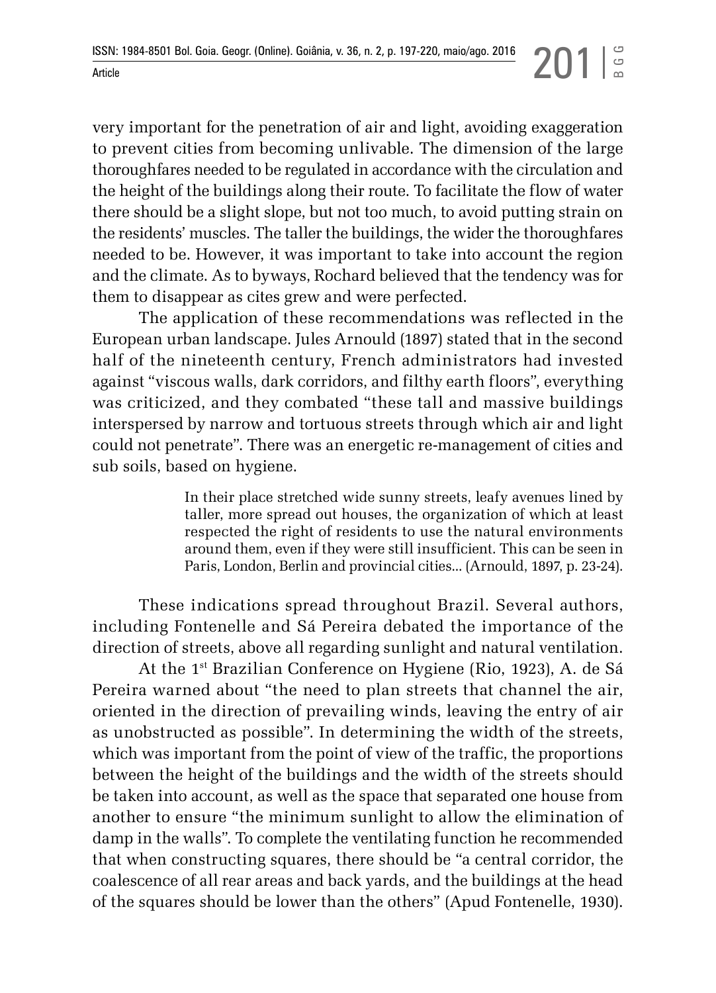very important for the penetration of air and light, avoiding exaggeration to prevent cities from becoming unlivable. The dimension of the large thoroughfares needed to be regulated in accordance with the circulation and the height of the buildings along their route. To facilitate the flow of water there should be a slight slope, but not too much, to avoid putting strain on the residents' muscles. The taller the buildings, the wider the thoroughfares needed to be. However, it was important to take into account the region and the climate. As to byways, Rochard believed that the tendency was for them to disappear as cites grew and were perfected.

The application of these recommendations was reflected in the European urban landscape. Jules Arnould (1897) stated that in the second half of the nineteenth century, French administrators had invested against "viscous walls, dark corridors, and filthy earth floors", everything was criticized, and they combated "these tall and massive buildings interspersed by narrow and tortuous streets through which air and light could not penetrate". There was an energetic re-management of cities and sub soils, based on hygiene.

> In their place stretched wide sunny streets, leafy avenues lined by taller, more spread out houses, the organization of which at least respected the right of residents to use the natural environments around them, even if they were still insufficient. This can be seen in Paris, London, Berlin and provincial cities... (Arnould, 1897, p. 23-24).

These indications spread throughout Brazil. Several authors, including Fontenelle and Sá Pereira debated the importance of the direction of streets, above all regarding sunlight and natural ventilation.

At the 1st Brazilian Conference on Hygiene (Rio, 1923), A. de Sá Pereira warned about "the need to plan streets that channel the air, oriented in the direction of prevailing winds, leaving the entry of air as unobstructed as possible". In determining the width of the streets, which was important from the point of view of the traffic, the proportions between the height of the buildings and the width of the streets should be taken into account, as well as the space that separated one house from another to ensure "the minimum sunlight to allow the elimination of damp in the walls". To complete the ventilating function he recommended that when constructing squares, there should be "a central corridor, the coalescence of all rear areas and back yards, and the buildings at the head of the squares should be lower than the others" (Apud Fontenelle, 1930).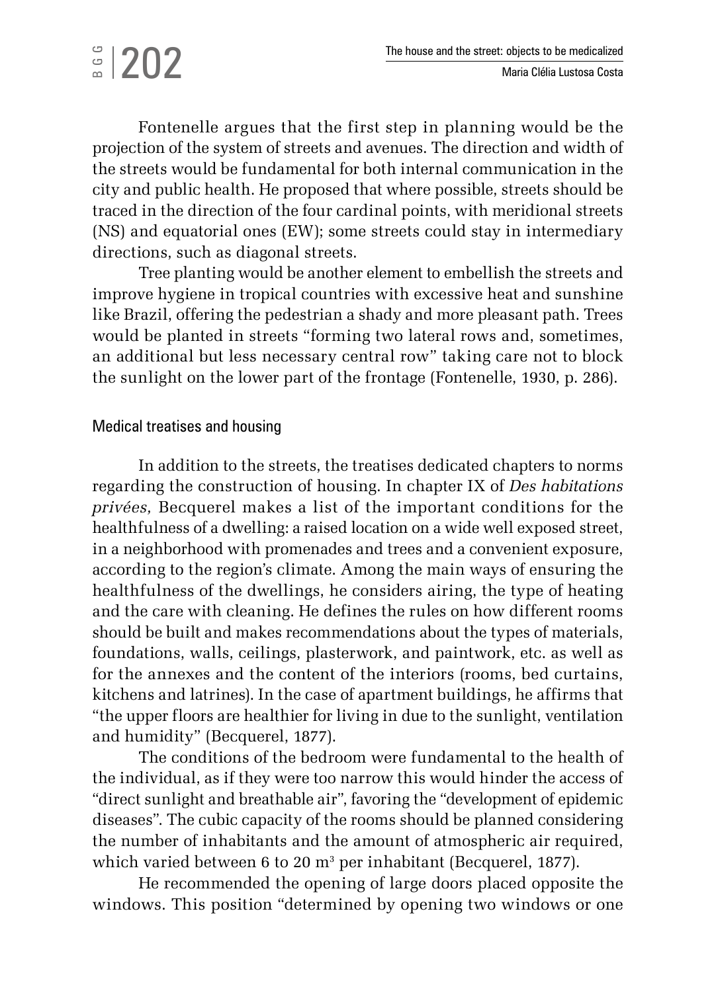## $\frac{3}{2}$ |202

Fontenelle argues that the first step in planning would be the projection of the system of streets and avenues. The direction and width of the streets would be fundamental for both internal communication in the city and public health. He proposed that where possible, streets should be traced in the direction of the four cardinal points, with meridional streets (NS) and equatorial ones (EW); some streets could stay in intermediary directions, such as diagonal streets.

Tree planting would be another element to embellish the streets and improve hygiene in tropical countries with excessive heat and sunshine like Brazil, offering the pedestrian a shady and more pleasant path. Trees would be planted in streets "forming two lateral rows and, sometimes, an additional but less necessary central row" taking care not to block the sunlight on the lower part of the frontage (Fontenelle, 1930, p. 286).

### Medical treatises and housing

In addition to the streets, the treatises dedicated chapters to norms regarding the construction of housing. In chapter IX of *Des habitations privées,* Becquerel makes a list of the important conditions for the healthfulness of a dwelling: a raised location on a wide well exposed street, in a neighborhood with promenades and trees and a convenient exposure, according to the region's climate. Among the main ways of ensuring the healthfulness of the dwellings, he considers airing, the type of heating and the care with cleaning. He defines the rules on how different rooms should be built and makes recommendations about the types of materials, foundations, walls, ceilings, plasterwork, and paintwork, etc. as well as for the annexes and the content of the interiors (rooms, bed curtains, kitchens and latrines). In the case of apartment buildings, he affirms that "the upper floors are healthier for living in due to the sunlight, ventilation and humidity" (Becquerel, 1877).

The conditions of the bedroom were fundamental to the health of the individual, as if they were too narrow this would hinder the access of "direct sunlight and breathable air", favoring the "development of epidemic diseases". The cubic capacity of the rooms should be planned considering the number of inhabitants and the amount of atmospheric air required, which varied between 6 to 20  $\mathrm{m}^{_3}$  per inhabitant (Becquerel, 1877).

He recommended the opening of large doors placed opposite the windows. This position "determined by opening two windows or one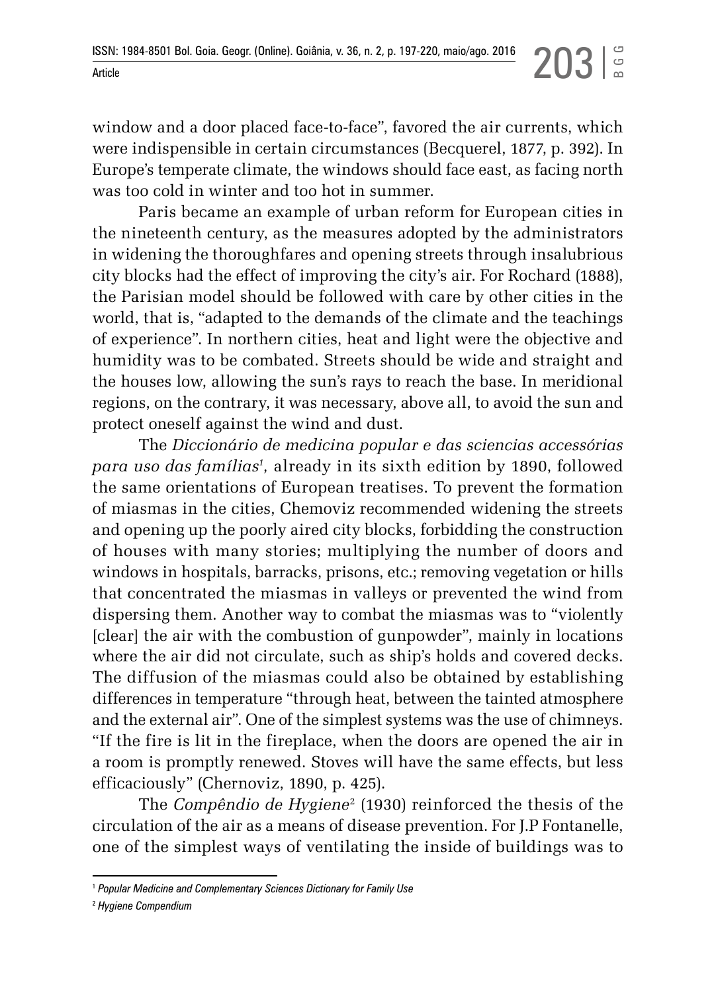BGG

window and a door placed face-to-face", favored the air currents, which were indispensible in certain circumstances (Becquerel, 1877, p. 392). In Europe's temperate climate, the windows should face east, as facing north was too cold in winter and too hot in summer.

Paris became an example of urban reform for European cities in the nineteenth century, as the measures adopted by the administrators in widening the thoroughfares and opening streets through insalubrious city blocks had the effect of improving the city's air. For Rochard (1888), the Parisian model should be followed with care by other cities in the world, that is, "adapted to the demands of the climate and the teachings of experience". In northern cities, heat and light were the objective and humidity was to be combated. Streets should be wide and straight and the houses low, allowing the sun's rays to reach the base. In meridional regions, on the contrary, it was necessary, above all, to avoid the sun and protect oneself against the wind and dust.

The *Diccionário de medicina popular e das sciencias accessórias para uso das famílias1 ,* already in its sixth edition by 1890, followed the same orientations of European treatises. To prevent the formation of miasmas in the cities, Chemoviz recommended widening the streets and opening up the poorly aired city blocks, forbidding the construction of houses with many stories; multiplying the number of doors and windows in hospitals, barracks, prisons, etc.; removing vegetation or hills that concentrated the miasmas in valleys or prevented the wind from dispersing them. Another way to combat the miasmas was to "violently [clear] the air with the combustion of gunpowder", mainly in locations where the air did not circulate, such as ship's holds and covered decks. The diffusion of the miasmas could also be obtained by establishing differences in temperature "through heat, between the tainted atmosphere and the external air". One of the simplest systems was the use of chimneys. "If the fire is lit in the fireplace, when the doors are opened the air in a room is promptly renewed. Stoves will have the same effects, but less efficaciously" (Chernoviz, 1890, p. 425).

The *Compêndio de Hygiene*<sup>2</sup> (1930) reinforced the thesis of the circulation of the air as a means of disease prevention. For J.P Fontanelle, one of the simplest ways of ventilating the inside of buildings was to

<sup>1</sup> *Popular Medicine and Complementary Sciences Dictionary for Family Use* 

<sup>2</sup>  *Hygiene Compendium*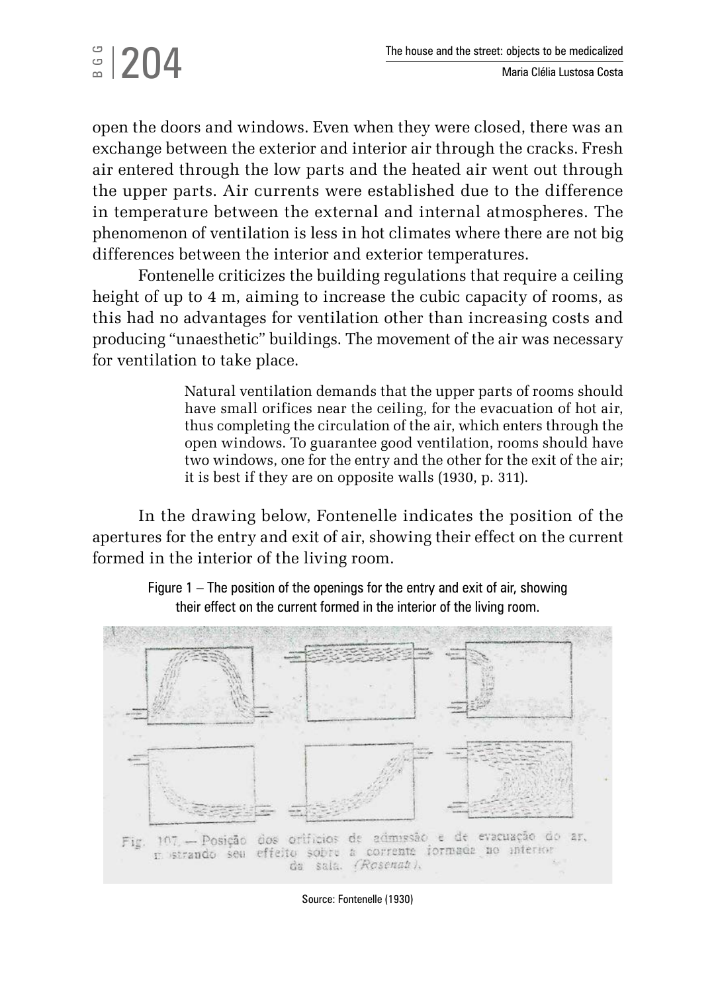## $\frac{3}{2}$ |204

open the doors and windows. Even when they were closed, there was an exchange between the exterior and interior air through the cracks. Fresh air entered through the low parts and the heated air went out through the upper parts. Air currents were established due to the difference in temperature between the external and internal atmospheres. The phenomenon of ventilation is less in hot climates where there are not big differences between the interior and exterior temperatures.

Fontenelle criticizes the building regulations that require a ceiling height of up to 4 m, aiming to increase the cubic capacity of rooms, as this had no advantages for ventilation other than increasing costs and producing "unaesthetic" buildings. The movement of the air was necessary for ventilation to take place.

> Natural ventilation demands that the upper parts of rooms should have small orifices near the ceiling, for the evacuation of hot air, thus completing the circulation of the air, which enters through the open windows. To guarantee good ventilation, rooms should have two windows, one for the entry and the other for the exit of the air; it is best if they are on opposite walls (1930, p. 311).

In the drawing below, Fontenelle indicates the position of the apertures for the entry and exit of air, showing their effect on the current formed in the interior of the living room.



Figure 1 – The position of the openings for the entry and exit of air, showing their effect on the current formed in the interior of the living room.

Source: Fontenelle (1930)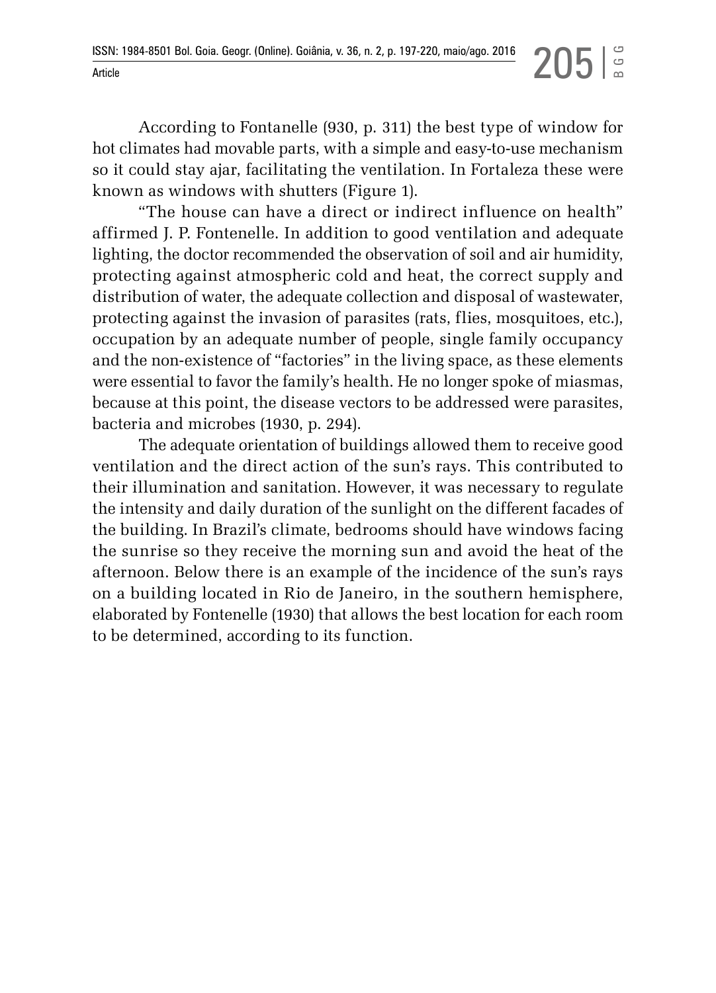According to Fontanelle (930, p. 311) the best type of window for hot climates had movable parts, with a simple and easy-to-use mechanism so it could stay ajar, facilitating the ventilation. In Fortaleza these were known as windows with shutters (Figure 1).

"The house can have a direct or indirect influence on health" affirmed J. P. Fontenelle. In addition to good ventilation and adequate lighting, the doctor recommended the observation of soil and air humidity, protecting against atmospheric cold and heat, the correct supply and distribution of water, the adequate collection and disposal of wastewater, protecting against the invasion of parasites (rats, flies, mosquitoes, etc.), occupation by an adequate number of people, single family occupancy and the non-existence of "factories" in the living space, as these elements were essential to favor the family's health. He no longer spoke of miasmas, because at this point, the disease vectors to be addressed were parasites, bacteria and microbes (1930, p. 294).

The adequate orientation of buildings allowed them to receive good ventilation and the direct action of the sun's rays. This contributed to their illumination and sanitation. However, it was necessary to regulate the intensity and daily duration of the sunlight on the different facades of the building. In Brazil's climate, bedrooms should have windows facing the sunrise so they receive the morning sun and avoid the heat of the afternoon. Below there is an example of the incidence of the sun's rays on a building located in Rio de Janeiro, in the southern hemisphere, elaborated by Fontenelle (1930) that allows the best location for each room to be determined, according to its function.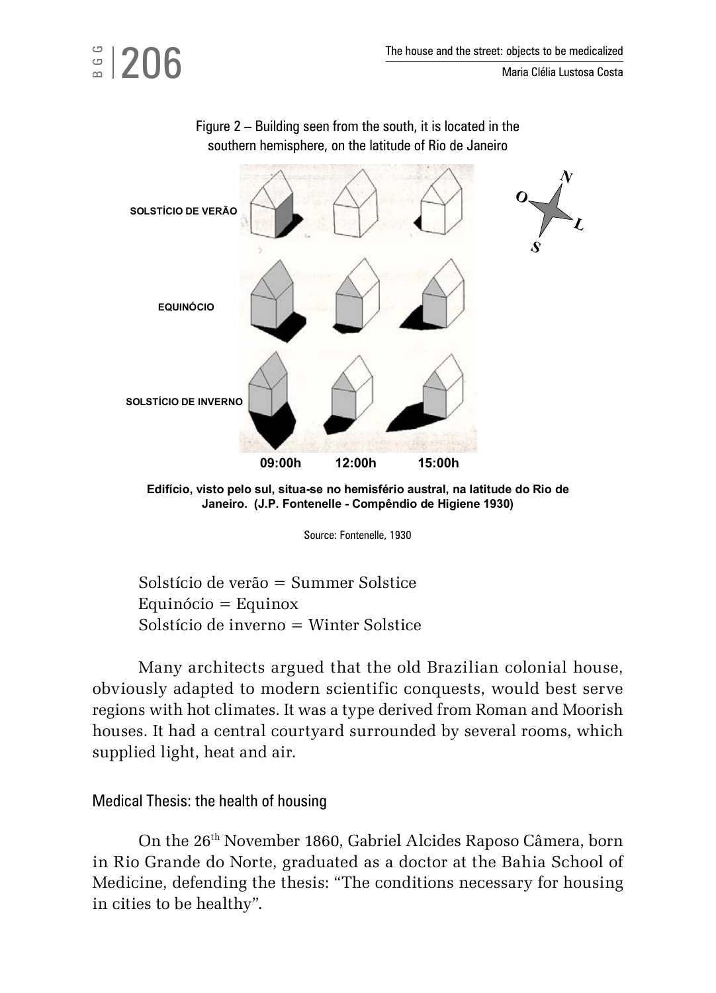

Figure 2 – Building seen from the south, it is located in the southern hemisphere, on the latitude of Rio de Janeiro

**Edifício, visto pelo sul, situa-se no hemisfério austral, na latitude do Rio de Janeiro. (J.P. Fontenelle - Compêndio de Higiene 1930)**

Source: Fontenelle, 1930

Solstício de verão = Summer Solstice Equinócio = Equinox Solstício de inverno = Winter Solstice

Many architects argued that the old Brazilian colonial house, obviously adapted to modern scientific conquests, would best serve regions with hot climates. It was a type derived from Roman and Moorish houses. It had a central courtyard surrounded by several rooms, which supplied light, heat and air.

### Medical Thesis: the health of housing

 $\frac{a}{2}$ |206

On the 26th November 1860, Gabriel Alcides Raposo Câmera, born in Rio Grande do Norte, graduated as a doctor at the Bahia School of Medicine, defending the thesis: "The conditions necessary for housing in cities to be healthy".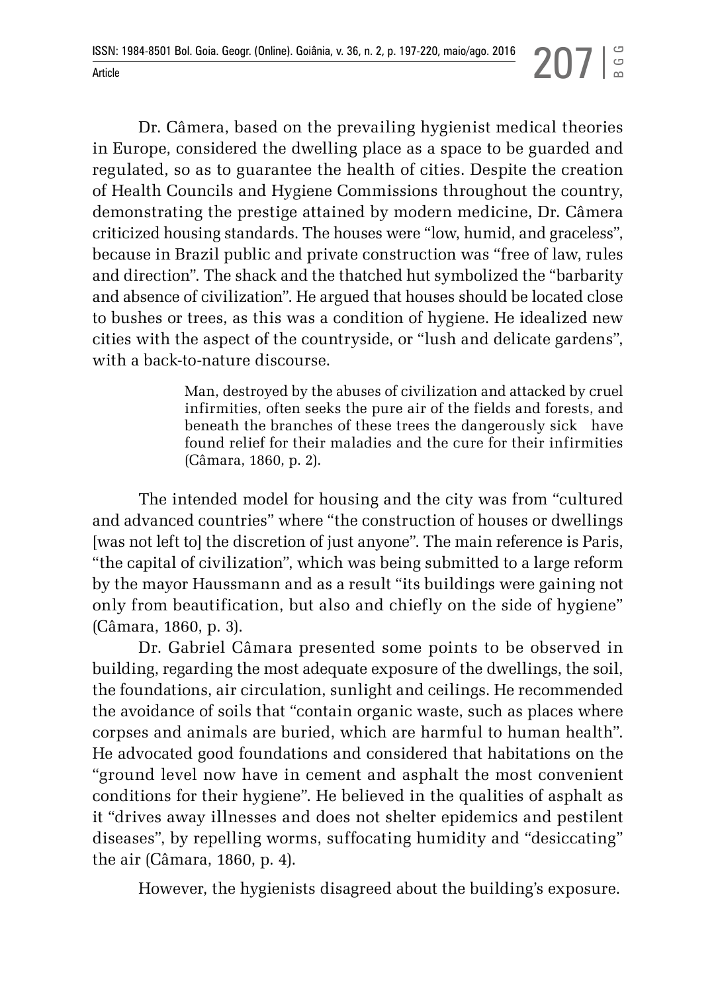Dr. Câmera, based on the prevailing hygienist medical theories in Europe, considered the dwelling place as a space to be guarded and regulated, so as to guarantee the health of cities. Despite the creation of Health Councils and Hygiene Commissions throughout the country, demonstrating the prestige attained by modern medicine, Dr. Câmera criticized housing standards. The houses were "low, humid, and graceless", because in Brazil public and private construction was "free of law, rules and direction". The shack and the thatched hut symbolized the "barbarity and absence of civilization". He argued that houses should be located close to bushes or trees, as this was a condition of hygiene. He idealized new cities with the aspect of the countryside, or "lush and delicate gardens", with a back-to-nature discourse.

> Man, destroyed by the abuses of civilization and attacked by cruel infirmities, often seeks the pure air of the fields and forests, and beneath the branches of these trees the dangerously sick have found relief for their maladies and the cure for their infirmities (Câmara, 1860, p. 2).

The intended model for housing and the city was from "cultured and advanced countries" where "the construction of houses or dwellings [was not left to] the discretion of just anyone". The main reference is Paris, "the capital of civilization", which was being submitted to a large reform by the mayor Haussmann and as a result "its buildings were gaining not only from beautification, but also and chiefly on the side of hygiene" (Câmara, 1860, p. 3).

Dr. Gabriel Câmara presented some points to be observed in building, regarding the most adequate exposure of the dwellings, the soil, the foundations, air circulation, sunlight and ceilings. He recommended the avoidance of soils that "contain organic waste, such as places where corpses and animals are buried, which are harmful to human health". He advocated good foundations and considered that habitations on the "ground level now have in cement and asphalt the most convenient conditions for their hygiene". He believed in the qualities of asphalt as it "drives away illnesses and does not shelter epidemics and pestilent diseases", by repelling worms, suffocating humidity and "desiccating" the air (Câmara, 1860, p. 4).

However, the hygienists disagreed about the building's exposure.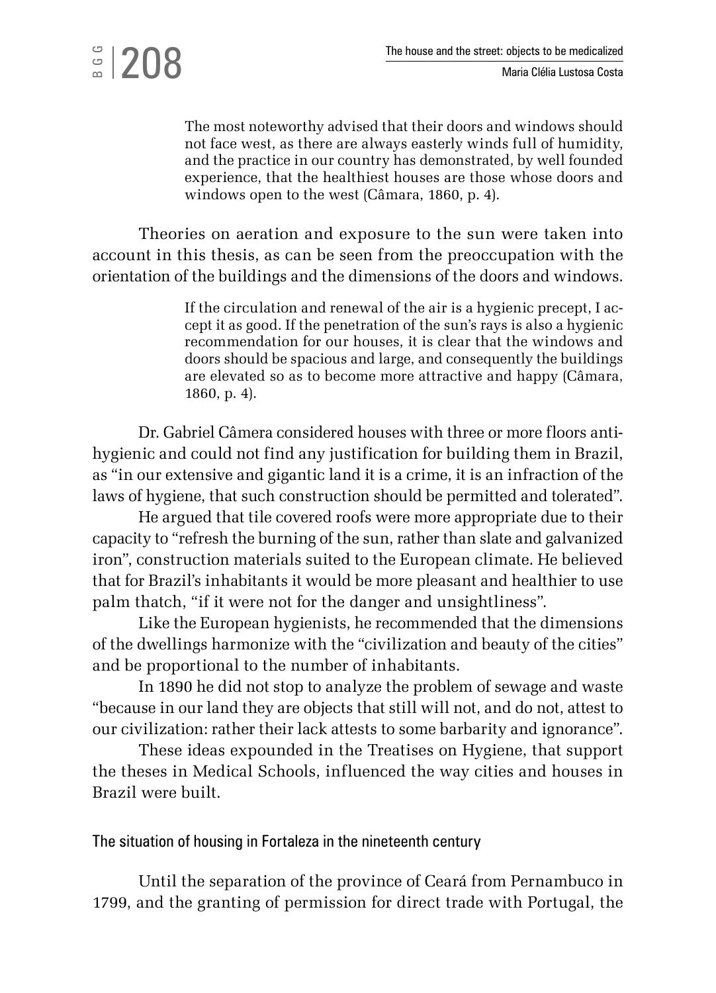# $\frac{1}{2}$ |208

The most noteworthy advised that their doors and windows should not face west, as there are always easterly winds full of humidity, and the practice in our country has demonstrated, by well founded experience, that the healthiest houses are those whose doors and windows open to the west (Câmara, 1860, p. 4).

Theories on aeration and exposure to the sun were taken into account in this thesis, as can be seen from the preoccupation with the orientation of the buildings and the dimensions of the doors and windows.

> If the circulation and renewal of the air is a hygienic precept, I accept it as good. If the penetration of the sun's rays is also a hygienic recommendation for our houses, it is clear that the windows and doors should be spacious and large, and consequently the buildings are elevated so as to become more attractive and happy (Câmara, 1860, p. 4).

Dr. Gabriel Câmera considered houses with three or more floors antihygienic and could not find any justification for building them in Brazil, as "in our extensive and gigantic land it is a crime, it is an infraction of the laws of hygiene, that such construction should be permitted and tolerated".

He argued that tile covered roofs were more appropriate due to their capacity to "refresh the burning of the sun, rather than slate and galvanized iron", construction materials suited to the European climate. He believed that for Brazil's inhabitants it would be more pleasant and healthier to use palm thatch, "if it were not for the danger and unsightliness".

Like the European hygienists, he recommended that the dimensions of the dwellings harmonize with the "civilization and beauty of the cities" and be proportional to the number of inhabitants.

In 1890 he did not stop to analyze the problem of sewage and waste "because in our land they are objects that still will not, and do not, attest to our civilization: rather their lack attests to some barbarity and ignorance".

These ideas expounded in the Treatises on Hygiene, that support the theses in Medical Schools, influenced the way cities and houses in Brazil were built.

### The situation of housing in Fortaleza in the nineteenth century

Until the separation of the province of Ceará from Pernambuco in 1799, and the granting of permission for direct trade with Portugal, the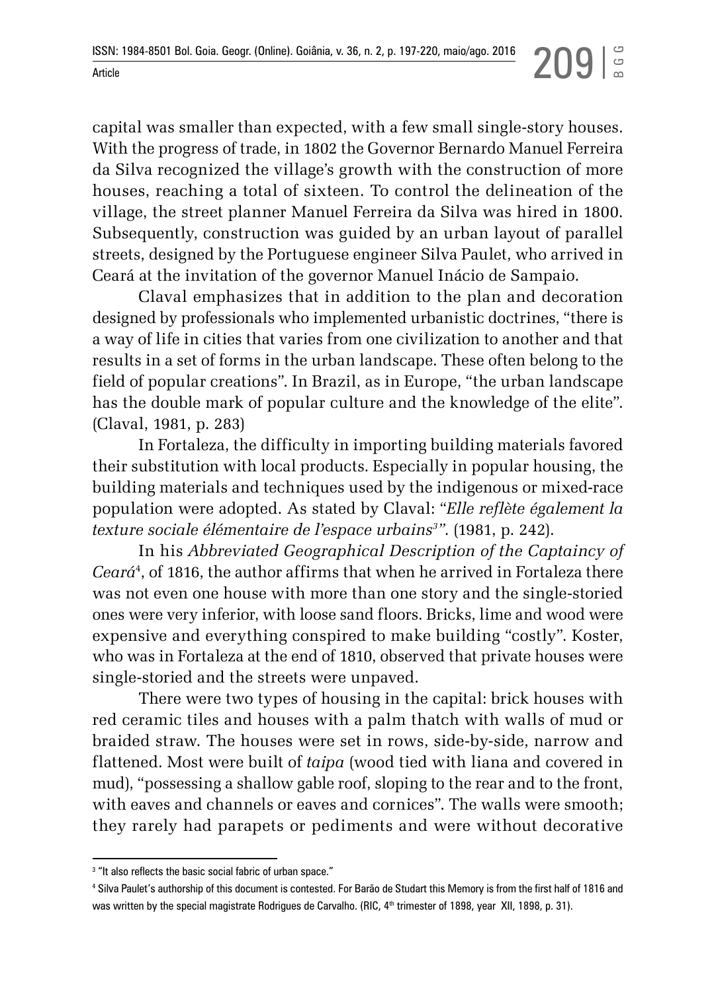capital was smaller than expected, with a few small single-story houses. With the progress of trade, in 1802 the Governor Bernardo Manuel Ferreira da Silva recognized the village's growth with the construction of more houses, reaching a total of sixteen. To control the delineation of the village, the street planner Manuel Ferreira da Silva was hired in 1800. Subsequently, construction was guided by an urban layout of parallel streets, designed by the Portuguese engineer Silva Paulet, who arrived in Ceará at the invitation of the governor Manuel Inácio de Sampaio.

Claval emphasizes that in addition to the plan and decoration designed by professionals who implemented urbanistic doctrines, "there is a way of life in cities that varies from one civilization to another and that results in a set of forms in the urban landscape. These often belong to the field of popular creations". In Brazil, as in Europe, "the urban landscape has the double mark of popular culture and the knowledge of the elite". (Claval, 1981, p. 283)

In Fortaleza, the difficulty in importing building materials favored their substitution with local products. Especially in popular housing, the building materials and techniques used by the indigenous or mixed-race population were adopted. As stated by Claval: "*Elle reflète également la texture sociale élémentaire de l'espace urbains3 "*. (1981, p. 242).

In his *Abbreviated Geographical Description of the Captaincy of Ceará*<sup>4</sup> , of 1816, the author affirms that when he arrived in Fortaleza there was not even one house with more than one story and the single-storied ones were very inferior, with loose sand floors. Bricks, lime and wood were expensive and everything conspired to make building "costly". Koster, who was in Fortaleza at the end of 1810, observed that private houses were single-storied and the streets were unpaved.

There were two types of housing in the capital: brick houses with red ceramic tiles and houses with a palm thatch with walls of mud or braided straw. The houses were set in rows, side-by-side, narrow and flattened. Most were built of *taipa* (wood tied with liana and covered in mud), "possessing a shallow gable roof, sloping to the rear and to the front, with eaves and channels or eaves and cornices". The walls were smooth; they rarely had parapets or pediments and were without decorative

<sup>3</sup> "It also reflects the basic social fabric of urban space."

<sup>4</sup> Silva Paulet's authorship of this document is contested. For Barão de Studart this Memory is from the first half of 1816 and was written by the special magistrate Rodrigues de Carvalho. (RIC, 4<sup>th</sup> trimester of 1898, year XII, 1898, p. 31).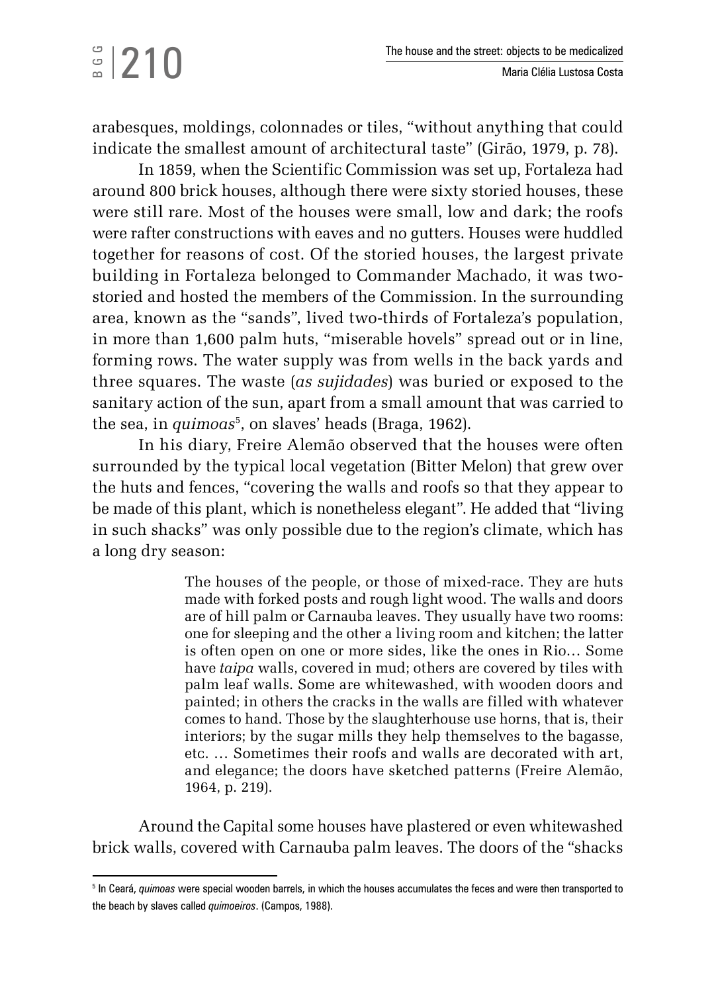arabesques, moldings, colonnades or tiles, "without anything that could indicate the smallest amount of architectural taste" (Girão, 1979, p. 78).

 $\frac{3}{2}$ |210

In 1859, when the Scientific Commission was set up, Fortaleza had around 800 brick houses, although there were sixty storied houses, these were still rare. Most of the houses were small, low and dark; the roofs were rafter constructions with eaves and no gutters. Houses were huddled together for reasons of cost. Of the storied houses, the largest private building in Fortaleza belonged to Commander Machado, it was twostoried and hosted the members of the Commission. In the surrounding area, known as the "sands", lived two-thirds of Fortaleza's population, in more than 1,600 palm huts, "miserable hovels" spread out or in line, forming rows. The water supply was from wells in the back yards and three squares. The waste (*as sujidades*) was buried or exposed to the sanitary action of the sun, apart from a small amount that was carried to the sea, in *quimoas*5, on slaves' heads (Braga, 1962).

In his diary, Freire Alemão observed that the houses were often surrounded by the typical local vegetation (Bitter Melon) that grew over the huts and fences, "covering the walls and roofs so that they appear to be made of this plant, which is nonetheless elegant". He added that "living in such shacks" was only possible due to the region's climate, which has a long dry season:

> The houses of the people, or those of mixed-race. They are huts made with forked posts and rough light wood. The walls and doors are of hill palm or Carnauba leaves. They usually have two rooms: one for sleeping and the other a living room and kitchen; the latter is often open on one or more sides, like the ones in Rio… Some have *taipa* walls, covered in mud; others are covered by tiles with palm leaf walls. Some are whitewashed, with wooden doors and painted; in others the cracks in the walls are filled with whatever comes to hand. Those by the slaughterhouse use horns, that is, their interiors; by the sugar mills they help themselves to the bagasse, etc. … Sometimes their roofs and walls are decorated with art, and elegance; the doors have sketched patterns (Freire Alemão, 1964, p. 219).

Around the Capital some houses have plastered or even whitewashed brick walls, covered with Carnauba palm leaves. The doors of the "shacks

<sup>5</sup> In Ceará, *quimoas* were special wooden barrels, in which the houses accumulates the feces and were then transported to the beach by slaves called *quimoeiros*. (Campos, 1988).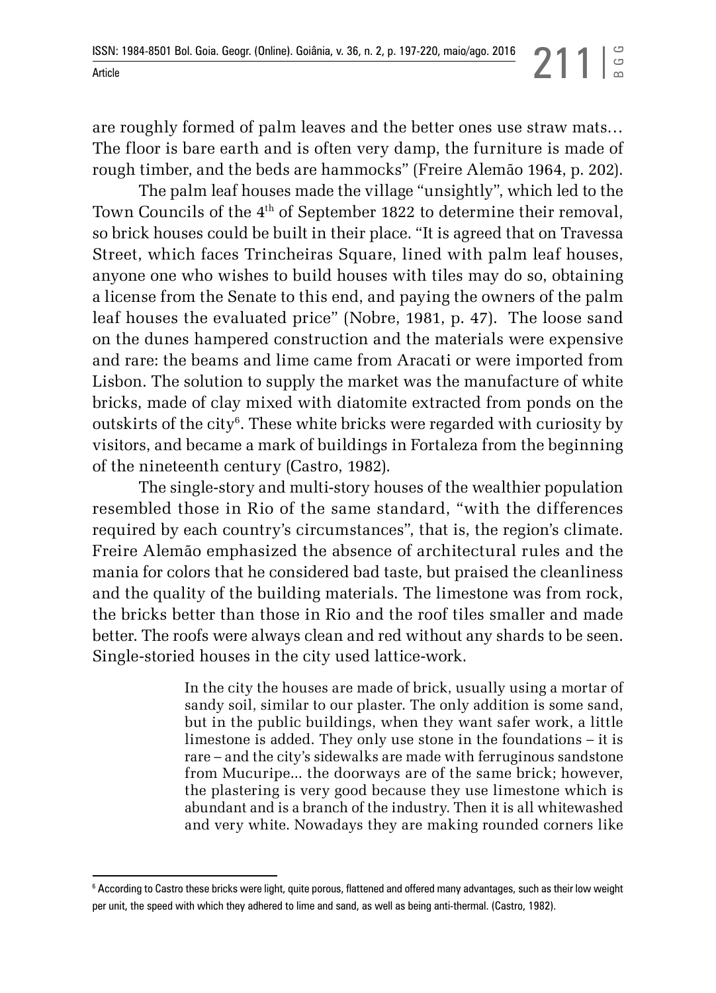are roughly formed of palm leaves and the better ones use straw mats… The floor is bare earth and is often very damp, the furniture is made of rough timber, and the beds are hammocks" (Freire Alemão 1964, p. 202).

The palm leaf houses made the village "unsightly", which led to the Town Councils of the 4<sup>th</sup> of September 1822 to determine their removal, so brick houses could be built in their place. "It is agreed that on Travessa Street, which faces Trincheiras Square, lined with palm leaf houses, anyone one who wishes to build houses with tiles may do so, obtaining a license from the Senate to this end, and paying the owners of the palm leaf houses the evaluated price" (Nobre, 1981, p. 47). The loose sand on the dunes hampered construction and the materials were expensive and rare: the beams and lime came from Aracati or were imported from Lisbon. The solution to supply the market was the manufacture of white bricks, made of clay mixed with diatomite extracted from ponds on the outskirts of the city<sup>6</sup>. These white bricks were regarded with curiosity by visitors, and became a mark of buildings in Fortaleza from the beginning of the nineteenth century (Castro, 1982).

The single-story and multi-story houses of the wealthier population resembled those in Rio of the same standard, "with the differences required by each country's circumstances", that is, the region's climate. Freire Alemão emphasized the absence of architectural rules and the mania for colors that he considered bad taste, but praised the cleanliness and the quality of the building materials. The limestone was from rock, the bricks better than those in Rio and the roof tiles smaller and made better. The roofs were always clean and red without any shards to be seen. Single-storied houses in the city used lattice-work.

> In the city the houses are made of brick, usually using a mortar of sandy soil, similar to our plaster. The only addition is some sand, but in the public buildings, when they want safer work, a little limestone is added. They only use stone in the foundations – it is rare – and the city's sidewalks are made with ferruginous sandstone from Mucuripe... the doorways are of the same brick; however, the plastering is very good because they use limestone which is abundant and is a branch of the industry. Then it is all whitewashed and very white. Nowadays they are making rounded corners like

 $^6$  According to Castro these bricks were light, quite porous, flattened and offered many advantages, such as their low weight per unit, the speed with which they adhered to lime and sand, as well as being anti-thermal. (Castro, 1982).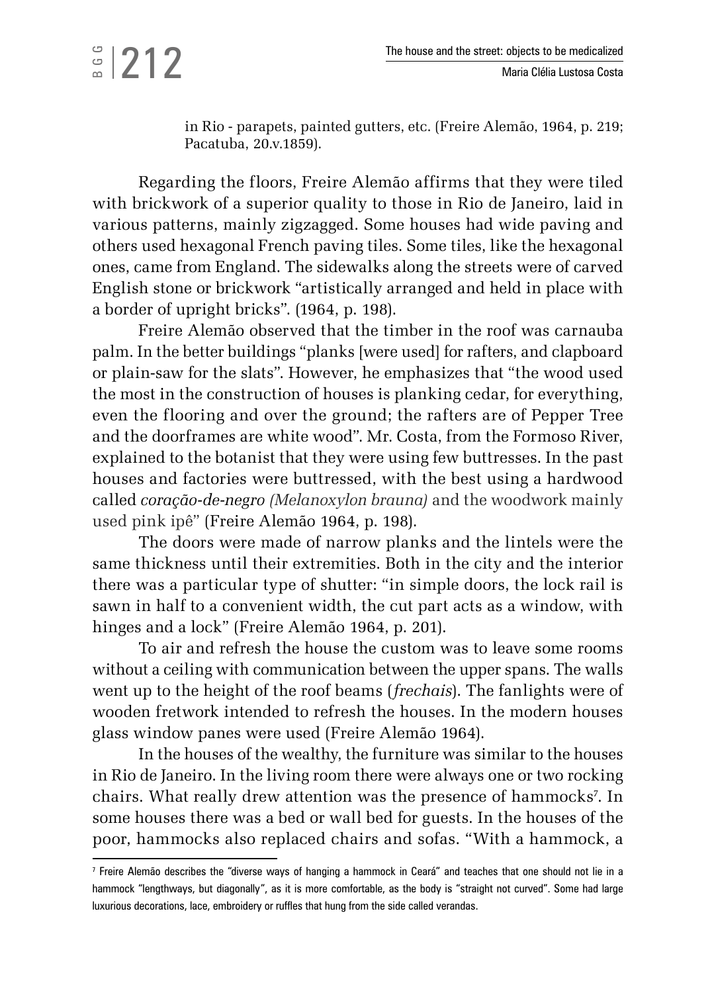## $3212$

in Rio - parapets, painted gutters, etc. (Freire Alemão, 1964, p. 219; Pacatuba, 20.v.1859).

Regarding the floors, Freire Alemão affirms that they were tiled with brickwork of a superior quality to those in Rio de Janeiro, laid in various patterns, mainly zigzagged. Some houses had wide paving and others used hexagonal French paving tiles. Some tiles, like the hexagonal ones, came from England. The sidewalks along the streets were of carved English stone or brickwork "artistically arranged and held in place with a border of upright bricks". (1964, p. 198).

Freire Alemão observed that the timber in the roof was carnauba palm. In the better buildings "planks [were used] for rafters, and clapboard or plain-saw for the slats". However, he emphasizes that "the wood used the most in the construction of houses is planking cedar, for everything, even the flooring and over the ground; the rafters are of Pepper Tree and the doorframes are white wood". Mr. Costa, from the Formoso River, explained to the botanist that they were using few buttresses. In the past houses and factories were buttressed, with the best using a hardwood called *coração-de-negro (Melanoxylon brauna)* and the woodwork mainly used pink ipê" (Freire Alemão 1964, p. 198).

The doors were made of narrow planks and the lintels were the same thickness until their extremities. Both in the city and the interior there was a particular type of shutter: "in simple doors, the lock rail is sawn in half to a convenient width, the cut part acts as a window, with hinges and a lock" (Freire Alemão 1964, p. 201).

To air and refresh the house the custom was to leave some rooms without a ceiling with communication between the upper spans. The walls went up to the height of the roof beams (*frechais*). The fanlights were of wooden fretwork intended to refresh the houses. In the modern houses glass window panes were used (Freire Alemão 1964).

In the houses of the wealthy, the furniture was similar to the houses in Rio de Janeiro. In the living room there were always one or two rocking chairs. What really drew attention was the presence of hammocks7 . In some houses there was a bed or wall bed for guests. In the houses of the poor, hammocks also replaced chairs and sofas. "With a hammock, a

<sup>7</sup> Freire Alemão describes the "diverse ways of hanging a hammock in Ceará" and teaches that one should not lie in a hammock "lengthways, but diagonally", as it is more comfortable, as the body is "straight not curved". Some had large luxurious decorations, lace, embroidery or ruffles that hung from the side called verandas.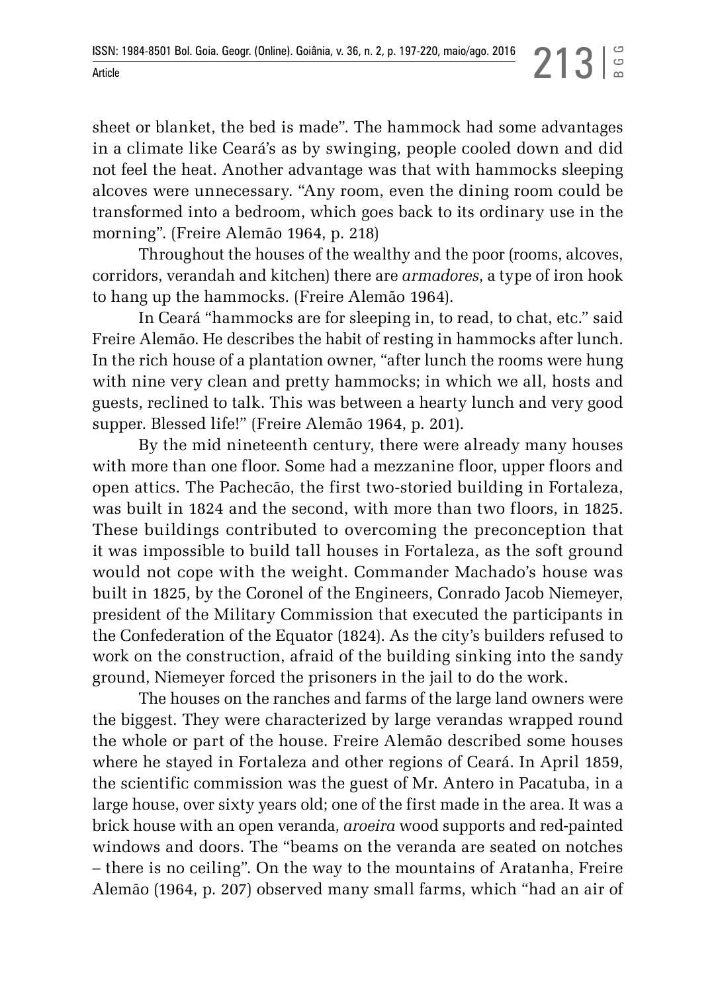sheet or blanket, the bed is made". The hammock had some advantages in a climate like Ceará's as by swinging, people cooled down and did not feel the heat. Another advantage was that with hammocks sleeping alcoves were unnecessary. "Any room, even the dining room could be transformed into a bedroom, which goes back to its ordinary use in the morning". (Freire Alemão 1964, p. 218)

Throughout the houses of the wealthy and the poor (rooms, alcoves, corridors, verandah and kitchen) there are *armadores*, a type of iron hook to hang up the hammocks. (Freire Alemão 1964).

In Ceará "hammocks are for sleeping in, to read, to chat, etc." said Freire Alemão. He describes the habit of resting in hammocks after lunch. In the rich house of a plantation owner, "after lunch the rooms were hung with nine very clean and pretty hammocks; in which we all, hosts and guests, reclined to talk. This was between a hearty lunch and very good supper. Blessed life!" (Freire Alemão 1964, p. 201).

By the mid nineteenth century, there were already many houses with more than one floor. Some had a mezzanine floor, upper floors and open attics. The Pachecão, the first two-storied building in Fortaleza, was built in 1824 and the second, with more than two floors, in 1825. These buildings contributed to overcoming the preconception that it was impossible to build tall houses in Fortaleza, as the soft ground would not cope with the weight. Commander Machado's house was built in 1825, by the Coronel of the Engineers, Conrado Jacob Niemeyer, president of the Military Commission that executed the participants in the Confederation of the Equator (1824). As the city's builders refused to work on the construction, afraid of the building sinking into the sandy ground, Niemeyer forced the prisoners in the jail to do the work.

The houses on the ranches and farms of the large land owners were the biggest. They were characterized by large verandas wrapped round the whole or part of the house. Freire Alemão described some houses where he stayed in Fortaleza and other regions of Ceará. In April 1859, the scientific commission was the guest of Mr. Antero in Pacatuba, in a large house, over sixty years old; one of the first made in the area. It was a brick house with an open veranda, *aroeira* wood supports and red-painted windows and doors. The "beams on the veranda are seated on notches – there is no ceiling". On the way to the mountains of Aratanha, Freire Alemão (1964, p. 207) observed many small farms, which "had an air of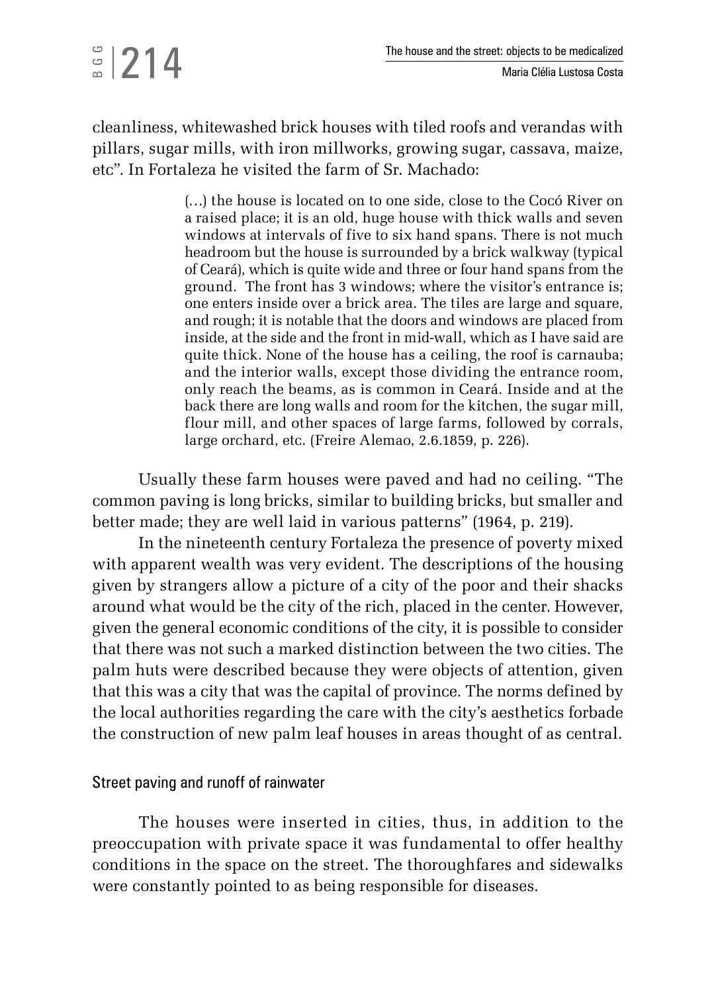cleanliness, whitewashed brick houses with tiled roofs and verandas with pillars, sugar mills, with iron millworks, growing sugar, cassava, maize, etc". In Fortaleza he visited the farm of Sr. Machado:

> (…) the house is located on to one side, close to the Cocó River on a raised place; it is an old, huge house with thick walls and seven windows at intervals of five to six hand spans. There is not much headroom but the house is surrounded by a brick walkway (typical of Ceará), which is quite wide and three or four hand spans from the ground. The front has 3 windows; where the visitor's entrance is; one enters inside over a brick area. The tiles are large and square, and rough; it is notable that the doors and windows are placed from inside, at the side and the front in mid-wall, which as I have said are quite thick. None of the house has a ceiling, the roof is carnauba; and the interior walls, except those dividing the entrance room, only reach the beams, as is common in Ceará. Inside and at the back there are long walls and room for the kitchen, the sugar mill, flour mill, and other spaces of large farms, followed by corrals, large orchard, etc. (Freire Alemao, 2.6.1859, p. 226).

Usually these farm houses were paved and had no ceiling. "The common paving is long bricks, similar to building bricks, but smaller and better made; they are well laid in various patterns" (1964, p. 219).

In the nineteenth century Fortaleza the presence of poverty mixed with apparent wealth was very evident. The descriptions of the housing given by strangers allow a picture of a city of the poor and their shacks around what would be the city of the rich, placed in the center. However, given the general economic conditions of the city, it is possible to consider that there was not such a marked distinction between the two cities. The palm huts were described because they were objects of attention, given that this was a city that was the capital of province. The norms defined by the local authorities regarding the care with the city's aesthetics forbade the construction of new palm leaf houses in areas thought of as central.

### Street paving and runoff of rainwater

The houses were inserted in cities, thus, in addition to the preoccupation with private space it was fundamental to offer healthy conditions in the space on the street. The thoroughfares and sidewalks were constantly pointed to as being responsible for diseases.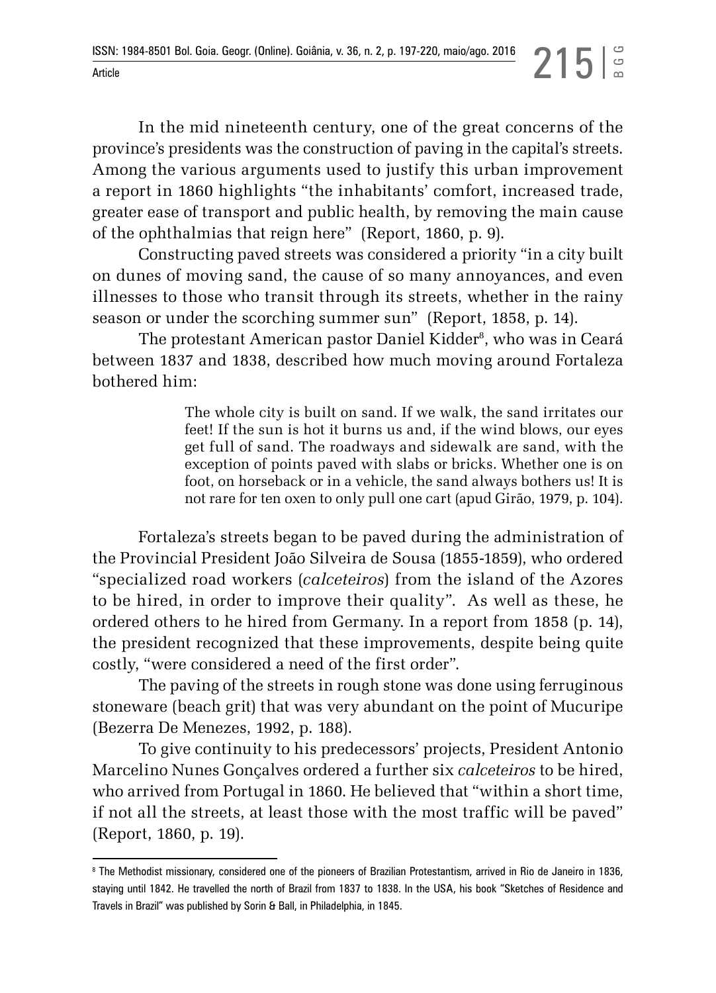In the mid nineteenth century, one of the great concerns of the province's presidents was the construction of paving in the capital's streets. Among the various arguments used to justify this urban improvement a report in 1860 highlights "the inhabitants' comfort, increased trade, greater ease of transport and public health, by removing the main cause of the ophthalmias that reign here" (Report, 1860, p. 9).

Constructing paved streets was considered a priority "in a city built on dunes of moving sand, the cause of so many annoyances, and even illnesses to those who transit through its streets, whether in the rainy season or under the scorching summer sun" (Report, 1858, p. 14).

The protestant American pastor Daniel Kidder<sup>8</sup>, who was in Ceará between 1837 and 1838, described how much moving around Fortaleza bothered him:

> The whole city is built on sand. If we walk, the sand irritates our feet! If the sun is hot it burns us and, if the wind blows, our eyes get full of sand. The roadways and sidewalk are sand, with the exception of points paved with slabs or bricks. Whether one is on foot, on horseback or in a vehicle, the sand always bothers us! It is not rare for ten oxen to only pull one cart (apud Girão, 1979, p. 104).

Fortaleza's streets began to be paved during the administration of the Provincial President João Silveira de Sousa (1855-1859), who ordered "specialized road workers (*calceteiros*) from the island of the Azores to be hired, in order to improve their quality". As well as these, he ordered others to he hired from Germany. In a report from 1858 (p. 14), the president recognized that these improvements, despite being quite costly, "were considered a need of the first order".

The paving of the streets in rough stone was done using ferruginous stoneware (beach grit) that was very abundant on the point of Mucuripe (Bezerra De Menezes, 1992, p. 188).

To give continuity to his predecessors' projects, President Antonio Marcelino Nunes Gonçalves ordered a further six *calceteiros* to be hired, who arrived from Portugal in 1860. He believed that "within a short time, if not all the streets, at least those with the most traffic will be paved" (Report, 1860, p. 19).

<sup>8</sup> The Methodist missionary, considered one of the pioneers of Brazilian Protestantism, arrived in Rio de Janeiro in 1836, staying until 1842. He travelled the north of Brazil from 1837 to 1838. In the USA, his book "Sketches of Residence and Travels in Brazil" was published by Sorin & Ball, in Philadelphia, in 1845.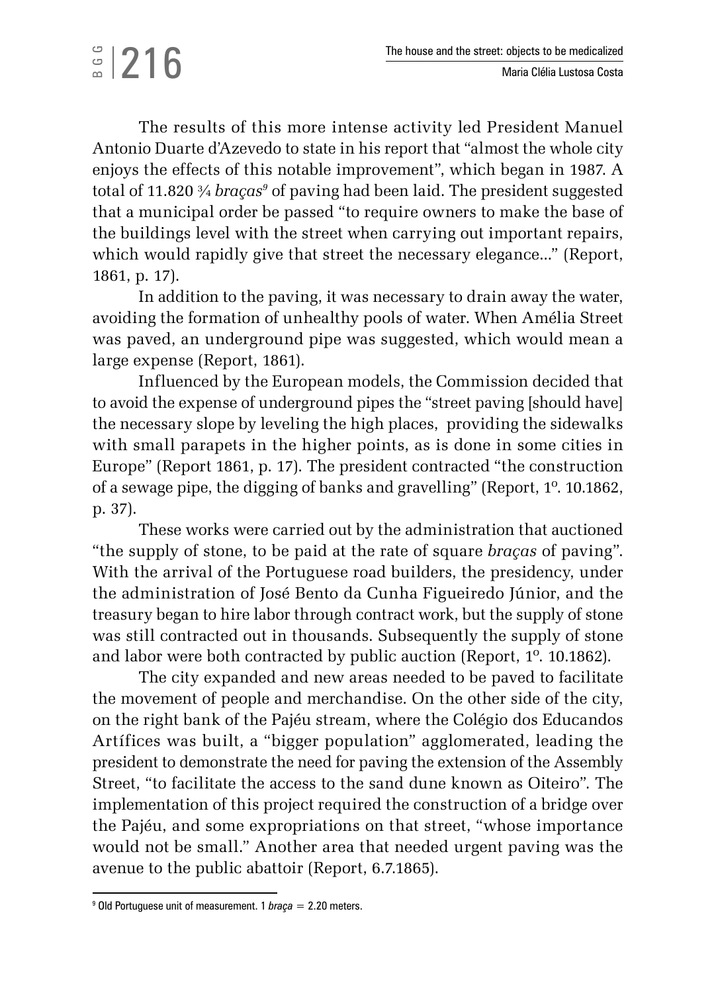# $\frac{3}{2}$ |216

The results of this more intense activity led President Manuel Antonio Duarte d'Azevedo to state in his report that "almost the whole city enjoys the effects of this notable improvement", which began in 1987. A total of 11.820 ¾ *braças<sup>9</sup>* of paving had been laid. The president suggested that a municipal order be passed "to require owners to make the base of the buildings level with the street when carrying out important repairs, which would rapidly give that street the necessary elegance..." (Report, 1861, p. 17).

In addition to the paving, it was necessary to drain away the water, avoiding the formation of unhealthy pools of water. When Amélia Street was paved, an underground pipe was suggested, which would mean a large expense (Report, 1861).

Influenced by the European models, the Commission decided that to avoid the expense of underground pipes the "street paving [should have] the necessary slope by leveling the high places, providing the sidewalks with small parapets in the higher points, as is done in some cities in Europe" (Report 1861, p. 17). The president contracted "the construction of a sewage pipe, the digging of banks and gravelling" (Report, 1º. 10.1862, p. 37).

These works were carried out by the administration that auctioned "the supply of stone, to be paid at the rate of square *braças* of paving". With the arrival of the Portuguese road builders, the presidency, under the administration of José Bento da Cunha Figueiredo Júnior, and the treasury began to hire labor through contract work, but the supply of stone was still contracted out in thousands. Subsequently the supply of stone and labor were both contracted by public auction (Report, 1º. 10.1862).

The city expanded and new areas needed to be paved to facilitate the movement of people and merchandise. On the other side of the city, on the right bank of the Pajéu stream, where the Colégio dos Educandos Artífices was built, a "bigger population" agglomerated, leading the president to demonstrate the need for paving the extension of the Assembly Street, "to facilitate the access to the sand dune known as Oiteiro". The implementation of this project required the construction of a bridge over the Pajéu, and some expropriations on that street, "whose importance would not be small." Another area that needed urgent paving was the avenue to the public abattoir (Report, 6.7.1865).

<sup>&</sup>lt;sup>9</sup> Old Portuguese unit of measurement. 1 *braça* = 2.20 meters.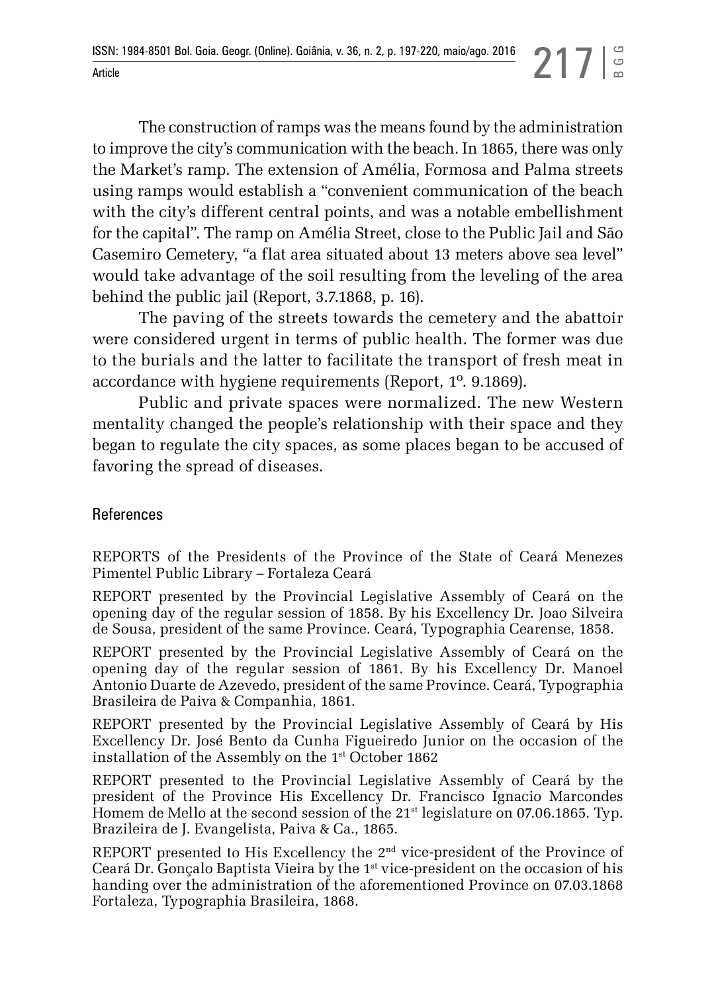The construction of ramps was the means found by the administration to improve the city's communication with the beach. In 1865, there was only the Market's ramp. The extension of Amélia, Formosa and Palma streets using ramps would establish a "convenient communication of the beach with the city's different central points, and was a notable embellishment for the capital". The ramp on Amélia Street, close to the Public Jail and São Casemiro Cemetery, "a flat area situated about 13 meters above sea level" would take advantage of the soil resulting from the leveling of the area behind the public jail (Report, 3.7.1868, p. 16).

The paving of the streets towards the cemetery and the abattoir were considered urgent in terms of public health. The former was due to the burials and the latter to facilitate the transport of fresh meat in accordance with hygiene requirements (Report, 1º. 9.1869).

Public and private spaces were normalized. The new Western mentality changed the people's relationship with their space and they began to regulate the city spaces, as some places began to be accused of favoring the spread of diseases.

### References

REPORTS of the Presidents of the Province of the State of Ceará Menezes Pimentel Public Library – Fortaleza Ceará

REPORT presented by the Provincial Legislative Assembly of Ceará on the opening day of the regular session of 1858. By his Excellency Dr. Joao Silveira de Sousa, president of the same Province. Ceará, Typographia Cearense, 1858.

REPORT presented by the Provincial Legislative Assembly of Ceará on the opening day of the regular session of 1861. By his Excellency Dr. Manoel Antonio Duarte de Azevedo, president of the same Province. Ceará, Typographia Brasileira de Paiva & Companhia, 1861.

REPORT presented by the Provincial Legislative Assembly of Ceará by His Excellency Dr. José Bento da Cunha Figueiredo Junior on the occasion of the installation of the Assembly on the 1st October 1862

REPORT presented to the Provincial Legislative Assembly of Ceará by the president of the Province His Excellency Dr. Francisco Ignacio Marcondes Homem de Mello at the second session of the 21<sup>st</sup> legislature on 07.06.1865. Typ. Brazileira de J. Evangelista, Paiva & Ca., 1865.

REPORT presented to His Excellency the  $2<sup>nd</sup>$  vice-president of the Province of Ceará Dr. Gonçalo Baptista Vieira by the 1st vice-president on the occasion of his handing over the administration of the aforementioned Province on 07.03.1868 Fortaleza, Typographia Brasileira, 1868.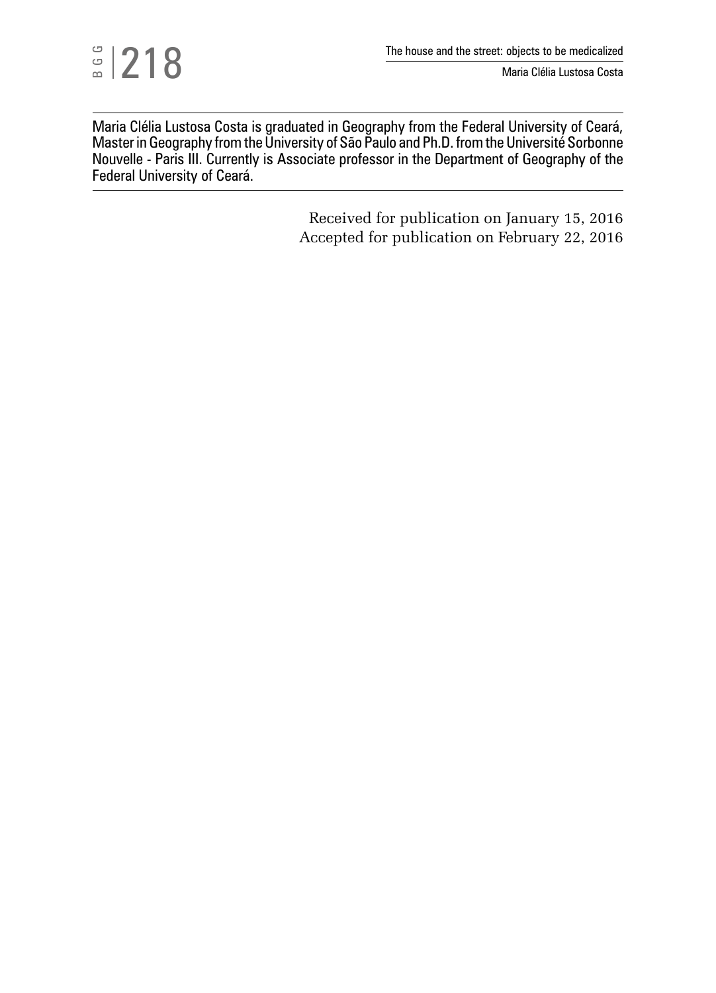Maria Clélia Lustosa Costa is graduated in Geography from the Federal University of Ceará, Master in Geography from the University of São Paulo and Ph.D. from the Université Sorbonne Nouvelle - Paris III. Currently is Associate professor in the Department of Geography of the Federal University of Ceará.

> Received for publication on January 15, 2016 Accepted for publication on February 22, 2016